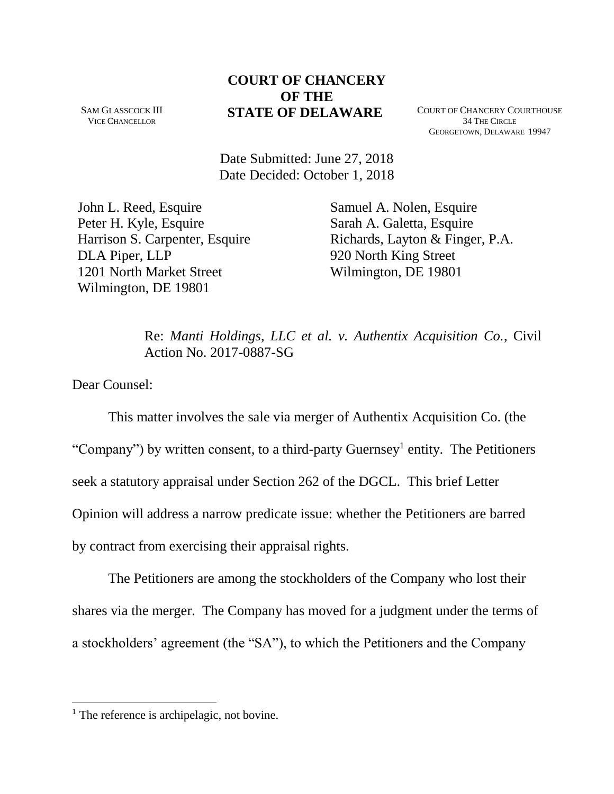# **COURT OF CHANCERY OF THE STATE OF DELAWARE** COURT OF CHANCERY COURTHOUSE

SAM GLASSCOCK III VICE CHANCELLOR

34 THE CIRCLE GEORGETOWN, DELAWARE 19947

Date Submitted: June 27, 2018 Date Decided: October 1, 2018

John L. Reed, Esquire Peter H. Kyle, Esquire Harrison S. Carpenter, Esquire DLA Piper, LLP 1201 North Market Street Wilmington, DE 19801

Samuel A. Nolen, Esquire Sarah A. Galetta, Esquire Richards, Layton & Finger, P.A. 920 North King Street Wilmington, DE 19801

Re: *Manti Holdings, LLC et al. v. Authentix Acquisition Co.*, Civil Action No. 2017-0887-SG

Dear Counsel:

 $\overline{a}$ 

This matter involves the sale via merger of Authentix Acquisition Co. (the "Company") by written consent, to a third-party Guernsey<sup>1</sup> entity. The Petitioners seek a statutory appraisal under Section 262 of the DGCL. This brief Letter Opinion will address a narrow predicate issue: whether the Petitioners are barred by contract from exercising their appraisal rights.

The Petitioners are among the stockholders of the Company who lost their shares via the merger. The Company has moved for a judgment under the terms of a stockholders' agreement (the "SA"), to which the Petitioners and the Company

 $<sup>1</sup>$  The reference is archipelagic, not bovine.</sup>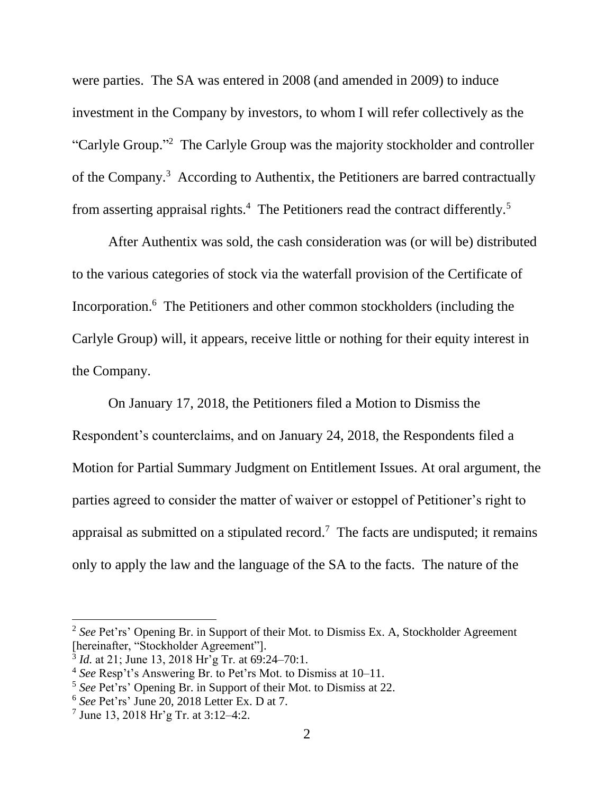were parties. The SA was entered in 2008 (and amended in 2009) to induce investment in the Company by investors, to whom I will refer collectively as the "Carlyle Group."<sup>2</sup> The Carlyle Group was the majority stockholder and controller of the Company.<sup>3</sup> According to Authentix, the Petitioners are barred contractually from asserting appraisal rights.<sup>4</sup> The Petitioners read the contract differently.<sup>5</sup>

After Authentix was sold, the cash consideration was (or will be) distributed to the various categories of stock via the waterfall provision of the Certificate of Incorporation. 6 The Petitioners and other common stockholders (including the Carlyle Group) will, it appears, receive little or nothing for their equity interest in the Company.

On January 17, 2018, the Petitioners filed a Motion to Dismiss the Respondent's counterclaims, and on January 24, 2018, the Respondents filed a Motion for Partial Summary Judgment on Entitlement Issues. At oral argument, the parties agreed to consider the matter of waiver or estoppel of Petitioner's right to appraisal as submitted on a stipulated record.<sup>7</sup> The facts are undisputed; it remains only to apply the law and the language of the SA to the facts. The nature of the

<sup>&</sup>lt;sup>2</sup> See Pet'rs' Opening Br. in Support of their Mot. to Dismiss Ex. A, Stockholder Agreement [hereinafter, "Stockholder Agreement"].

<sup>&</sup>lt;sup>3</sup> *Id.* at 21; June 13, 2018 Hr'g Tr. at 69:24–70:1.

<sup>4</sup> *See* Resp't's Answering Br. to Pet'rs Mot. to Dismiss at 10–11.

<sup>5</sup> *See* Pet'rs' Opening Br. in Support of their Mot. to Dismiss at 22.

<sup>6</sup> *See* Pet'rs' June 20, 2018 Letter Ex. D at 7.

 $7$  June 13, 2018 Hr'g Tr. at 3:12–4:2.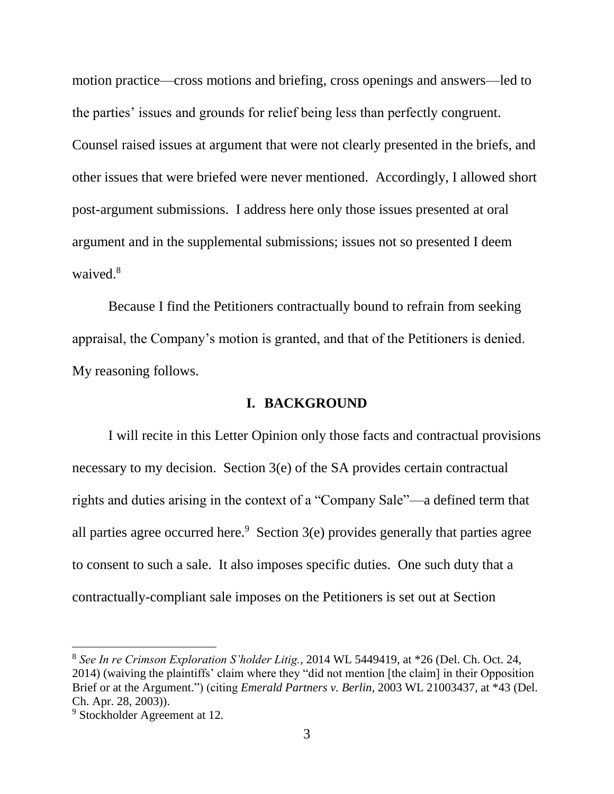motion practice—cross motions and briefing, cross openings and answers—led to the parties' issues and grounds for relief being less than perfectly congruent. Counsel raised issues at argument that were not clearly presented in the briefs, and other issues that were briefed were never mentioned. Accordingly, I allowed short post-argument submissions. I address here only those issues presented at oral argument and in the supplemental submissions; issues not so presented I deem waived.<sup>8</sup>

Because I find the Petitioners contractually bound to refrain from seeking appraisal, the Company's motion is granted, and that of the Petitioners is denied. My reasoning follows.

### **I. BACKGROUND**

I will recite in this Letter Opinion only those facts and contractual provisions necessary to my decision. Section 3(e) of the SA provides certain contractual rights and duties arising in the context of a "Company Sale"—a defined term that all parties agree occurred here. $9$  Section 3(e) provides generally that parties agree to consent to such a sale. It also imposes specific duties. One such duty that a contractually-compliant sale imposes on the Petitioners is set out at Section

<sup>8</sup> *See In re Crimson Exploration S'holder Litig.*, 2014 WL 5449419, at \*26 (Del. Ch. Oct. 24, 2014) (waiving the plaintiffs' claim where they "did not mention [the claim] in their Opposition Brief or at the Argument.") (citing *Emerald Partners v. Berlin*, 2003 WL 21003437, at \*43 (Del. Ch. Apr. 28, 2003)).

<sup>&</sup>lt;sup>9</sup> Stockholder Agreement at 12.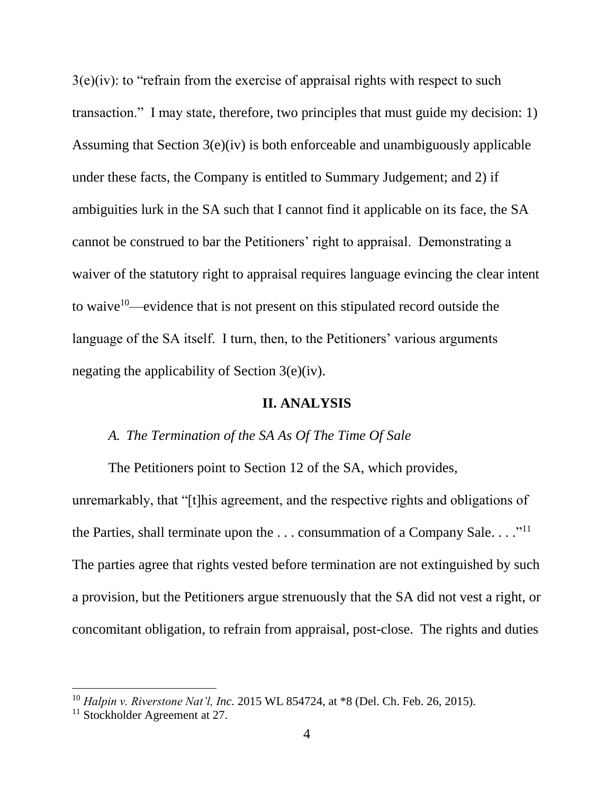$3(e)(iv)$ : to "refrain from the exercise of appraisal rights with respect to such transaction." I may state, therefore, two principles that must guide my decision: 1) Assuming that Section 3(e)(iv) is both enforceable and unambiguously applicable under these facts, the Company is entitled to Summary Judgement; and 2) if ambiguities lurk in the SA such that I cannot find it applicable on its face, the SA cannot be construed to bar the Petitioners' right to appraisal. Demonstrating a waiver of the statutory right to appraisal requires language evincing the clear intent to waive<sup>10</sup>—evidence that is not present on this stipulated record outside the language of the SA itself. I turn, then, to the Petitioners' various arguments negating the applicability of Section 3(e)(iv).

#### **II. ANALYSIS**

### *A. The Termination of the SA As Of The Time Of Sale*

The Petitioners point to Section 12 of the SA, which provides,

unremarkably, that "[t]his agreement, and the respective rights and obligations of the Parties, shall terminate upon the  $\dots$  consummation of a Company Sale.  $\dots$ <sup>"11</sup> The parties agree that rights vested before termination are not extinguished by such a provision, but the Petitioners argue strenuously that the SA did not vest a right, or concomitant obligation, to refrain from appraisal, post-close. The rights and duties

<sup>10</sup> *Halpin v. Riverstone Nat'l, Inc.* 2015 WL 854724, at \*8 (Del. Ch. Feb. 26, 2015).

 $11$  Stockholder Agreement at 27.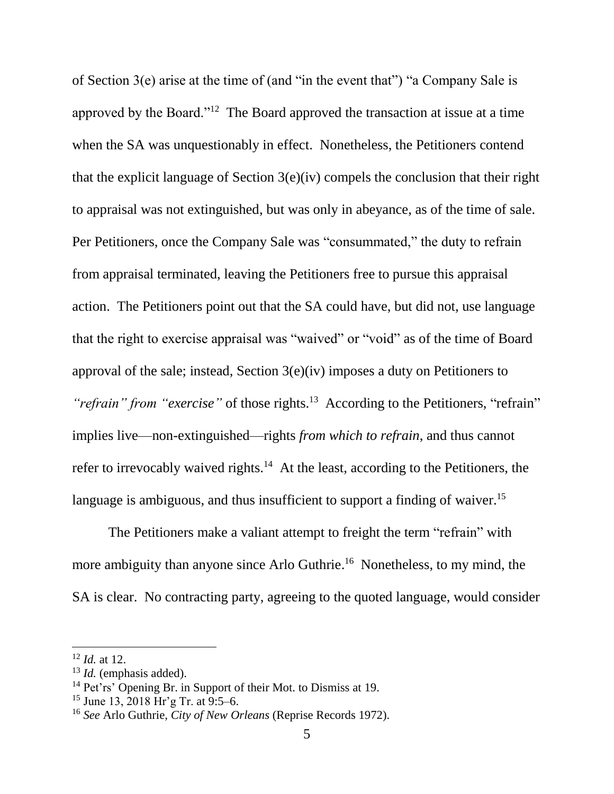of Section 3(e) arise at the time of (and "in the event that") "a Company Sale is approved by the Board."<sup>12</sup> The Board approved the transaction at issue at a time when the SA was unquestionably in effect. Nonetheless, the Petitioners contend that the explicit language of Section 3(e)(iv) compels the conclusion that their right to appraisal was not extinguished, but was only in abeyance, as of the time of sale. Per Petitioners, once the Company Sale was "consummated," the duty to refrain from appraisal terminated, leaving the Petitioners free to pursue this appraisal action. The Petitioners point out that the SA could have, but did not, use language that the right to exercise appraisal was "waived" or "void" as of the time of Board approval of the sale; instead, Section 3(e)(iv) imposes a duty on Petitioners to "*refrain*" from "exercise" of those rights.<sup>13</sup> According to the Petitioners, "refrain" implies live—non-extinguished—rights *from which to refrain*, and thus cannot refer to irrevocably waived rights.<sup>14</sup> At the least, according to the Petitioners, the language is ambiguous, and thus insufficient to support a finding of waiver.<sup>15</sup>

The Petitioners make a valiant attempt to freight the term "refrain" with more ambiguity than anyone since Arlo Guthrie.<sup>16</sup> Nonetheless, to my mind, the SA is clear. No contracting party, agreeing to the quoted language, would consider

<sup>12</sup> *Id.* at 12.

<sup>13</sup> *Id.* (emphasis added).

<sup>&</sup>lt;sup>14</sup> Pet'rs' Opening Br. in Support of their Mot. to Dismiss at 19.

<sup>15</sup> June 13, 2018 Hr'g Tr. at 9:5–6.

<sup>16</sup> *See* Arlo Guthrie, *City of New Orleans* (Reprise Records 1972).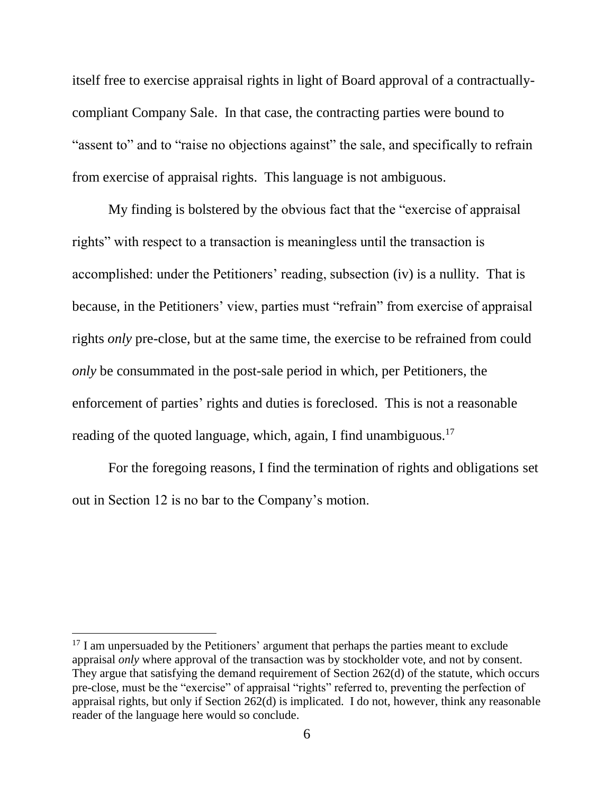itself free to exercise appraisal rights in light of Board approval of a contractuallycompliant Company Sale. In that case, the contracting parties were bound to "assent to" and to "raise no objections against" the sale, and specifically to refrain from exercise of appraisal rights. This language is not ambiguous.

My finding is bolstered by the obvious fact that the "exercise of appraisal rights" with respect to a transaction is meaningless until the transaction is accomplished: under the Petitioners' reading, subsection (iv) is a nullity. That is because, in the Petitioners' view, parties must "refrain" from exercise of appraisal rights *only* pre-close, but at the same time, the exercise to be refrained from could *only* be consummated in the post-sale period in which, per Petitioners, the enforcement of parties' rights and duties is foreclosed. This is not a reasonable reading of the quoted language, which, again, I find unambiguous.<sup>17</sup>

For the foregoing reasons, I find the termination of rights and obligations set out in Section 12 is no bar to the Company's motion.

 $17$  I am unpersuaded by the Petitioners' argument that perhaps the parties meant to exclude appraisal *only* where approval of the transaction was by stockholder vote, and not by consent. They argue that satisfying the demand requirement of Section 262(d) of the statute, which occurs pre-close, must be the "exercise" of appraisal "rights" referred to, preventing the perfection of appraisal rights, but only if Section 262(d) is implicated. I do not, however, think any reasonable reader of the language here would so conclude.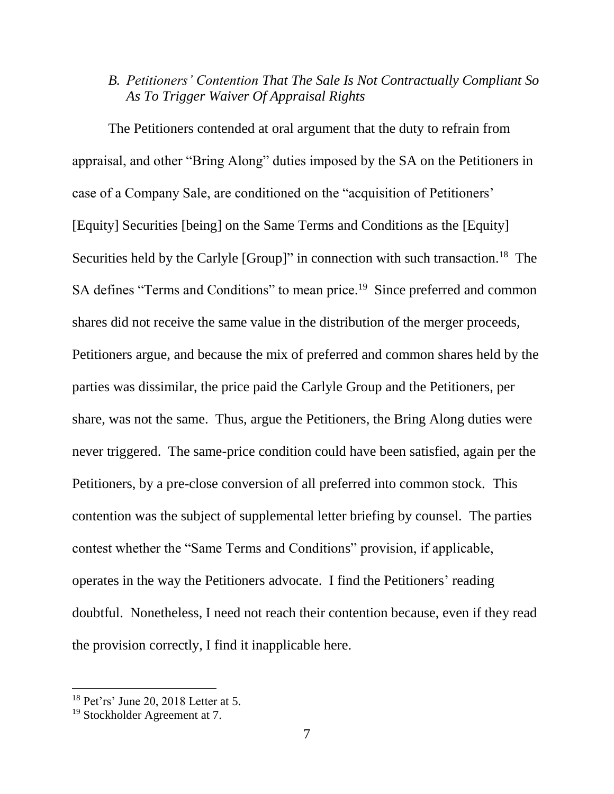# *B. Petitioners' Contention That The Sale Is Not Contractually Compliant So As To Trigger Waiver Of Appraisal Rights*

The Petitioners contended at oral argument that the duty to refrain from appraisal, and other "Bring Along" duties imposed by the SA on the Petitioners in case of a Company Sale, are conditioned on the "acquisition of Petitioners' [Equity] Securities [being] on the Same Terms and Conditions as the [Equity] Securities held by the Carlyle [Group]" in connection with such transaction.<sup>18</sup> The SA defines "Terms and Conditions" to mean price.<sup>19</sup> Since preferred and common shares did not receive the same value in the distribution of the merger proceeds, Petitioners argue, and because the mix of preferred and common shares held by the parties was dissimilar, the price paid the Carlyle Group and the Petitioners, per share, was not the same. Thus, argue the Petitioners, the Bring Along duties were never triggered. The same-price condition could have been satisfied, again per the Petitioners, by a pre-close conversion of all preferred into common stock. This contention was the subject of supplemental letter briefing by counsel. The parties contest whether the "Same Terms and Conditions" provision, if applicable, operates in the way the Petitioners advocate. I find the Petitioners' reading doubtful. Nonetheless, I need not reach their contention because, even if they read the provision correctly, I find it inapplicable here.

<sup>18</sup> Pet'rs' June 20, 2018 Letter at 5.

<sup>19</sup> Stockholder Agreement at 7.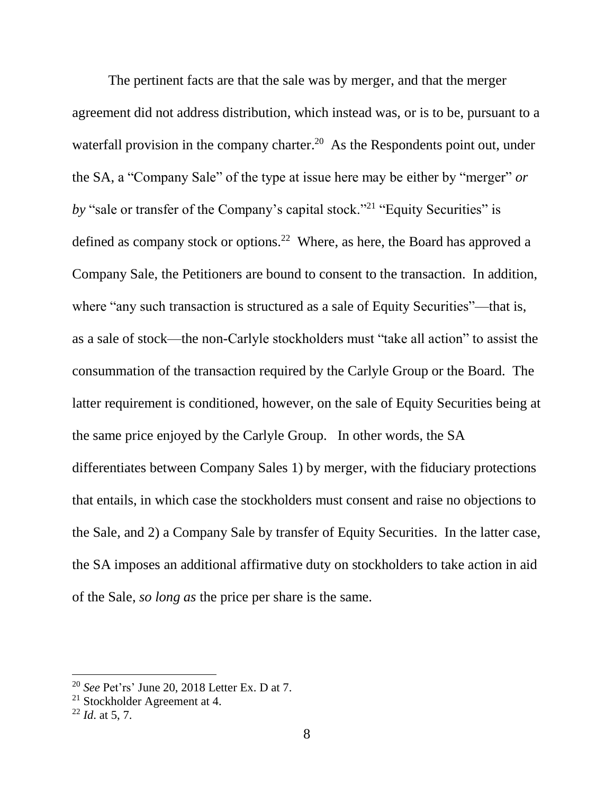The pertinent facts are that the sale was by merger, and that the merger agreement did not address distribution, which instead was, or is to be, pursuant to a waterfall provision in the company charter.<sup>20</sup> As the Respondents point out, under the SA, a "Company Sale" of the type at issue here may be either by "merger" *or by* "sale or transfer of the Company's capital stock."<sup>21</sup> "Equity Securities" is defined as company stock or options.<sup>22</sup> Where, as here, the Board has approved a Company Sale, the Petitioners are bound to consent to the transaction. In addition, where "any such transaction is structured as a sale of Equity Securities"—that is, as a sale of stock—the non-Carlyle stockholders must "take all action" to assist the consummation of the transaction required by the Carlyle Group or the Board. The latter requirement is conditioned, however, on the sale of Equity Securities being at the same price enjoyed by the Carlyle Group. In other words, the SA differentiates between Company Sales 1) by merger, with the fiduciary protections that entails, in which case the stockholders must consent and raise no objections to the Sale, and 2) a Company Sale by transfer of Equity Securities. In the latter case, the SA imposes an additional affirmative duty on stockholders to take action in aid of the Sale, *so long as* the price per share is the same.

<sup>20</sup> *See* Pet'rs' June 20, 2018 Letter Ex. D at 7.

<sup>21</sup> Stockholder Agreement at 4.

<sup>22</sup> *Id*. at 5, 7.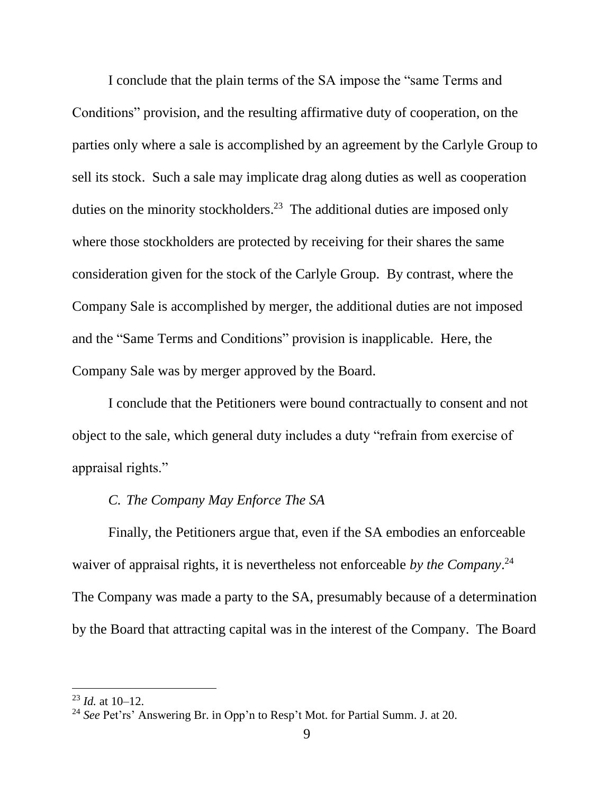I conclude that the plain terms of the SA impose the "same Terms and Conditions" provision, and the resulting affirmative duty of cooperation, on the parties only where a sale is accomplished by an agreement by the Carlyle Group to sell its stock. Such a sale may implicate drag along duties as well as cooperation duties on the minority stockholders.<sup>23</sup> The additional duties are imposed only where those stockholders are protected by receiving for their shares the same consideration given for the stock of the Carlyle Group. By contrast, where the Company Sale is accomplished by merger, the additional duties are not imposed and the "Same Terms and Conditions" provision is inapplicable. Here, the Company Sale was by merger approved by the Board.

I conclude that the Petitioners were bound contractually to consent and not object to the sale, which general duty includes a duty "refrain from exercise of appraisal rights."

# *C. The Company May Enforce The SA*

Finally, the Petitioners argue that, even if the SA embodies an enforceable waiver of appraisal rights, it is nevertheless not enforceable *by the Company*. 24 The Company was made a party to the SA, presumably because of a determination by the Board that attracting capital was in the interest of the Company. The Board

<sup>23</sup> *Id.* at 10–12.

<sup>24</sup> *See* Pet'rs' Answering Br. in Opp'n to Resp't Mot. for Partial Summ. J. at 20.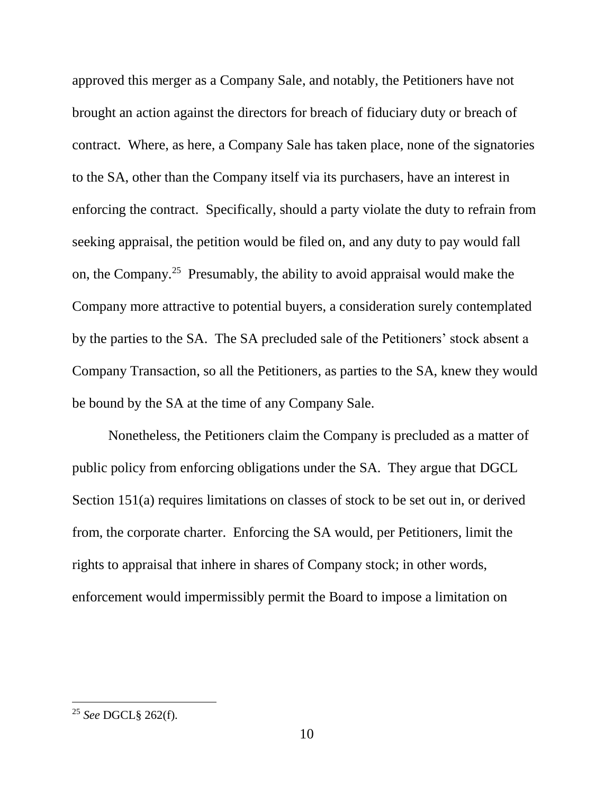approved this merger as a Company Sale, and notably, the Petitioners have not brought an action against the directors for breach of fiduciary duty or breach of contract. Where, as here, a Company Sale has taken place, none of the signatories to the SA, other than the Company itself via its purchasers, have an interest in enforcing the contract. Specifically, should a party violate the duty to refrain from seeking appraisal, the petition would be filed on, and any duty to pay would fall on, the Company.<sup>25</sup> Presumably, the ability to avoid appraisal would make the Company more attractive to potential buyers, a consideration surely contemplated by the parties to the SA. The SA precluded sale of the Petitioners' stock absent a Company Transaction, so all the Petitioners, as parties to the SA, knew they would be bound by the SA at the time of any Company Sale.

Nonetheless, the Petitioners claim the Company is precluded as a matter of public policy from enforcing obligations under the SA. They argue that DGCL Section 151(a) requires limitations on classes of stock to be set out in, or derived from, the corporate charter. Enforcing the SA would, per Petitioners, limit the rights to appraisal that inhere in shares of Company stock; in other words, enforcement would impermissibly permit the Board to impose a limitation on

<sup>25</sup> *See* DGCL§ 262(f).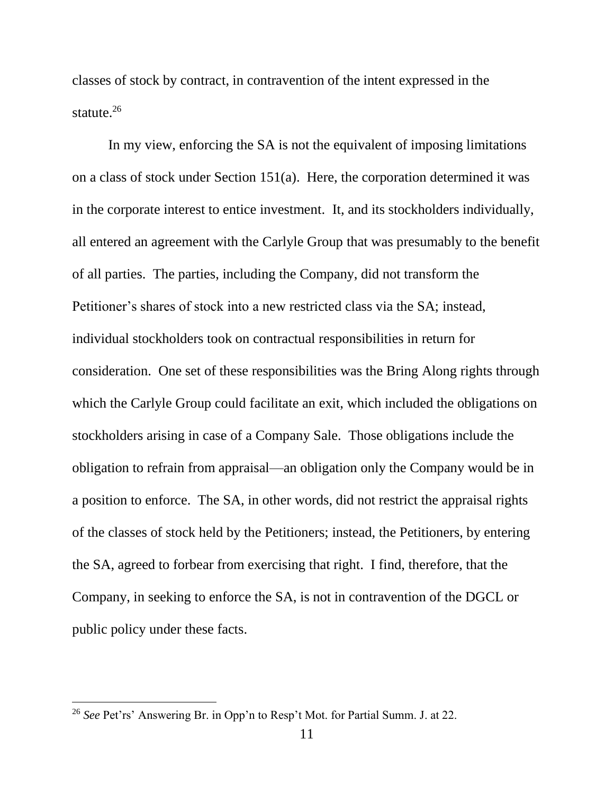classes of stock by contract, in contravention of the intent expressed in the statute.<sup>26</sup>

In my view, enforcing the SA is not the equivalent of imposing limitations on a class of stock under Section 151(a). Here, the corporation determined it was in the corporate interest to entice investment. It, and its stockholders individually, all entered an agreement with the Carlyle Group that was presumably to the benefit of all parties. The parties, including the Company, did not transform the Petitioner's shares of stock into a new restricted class via the SA; instead, individual stockholders took on contractual responsibilities in return for consideration. One set of these responsibilities was the Bring Along rights through which the Carlyle Group could facilitate an exit, which included the obligations on stockholders arising in case of a Company Sale. Those obligations include the obligation to refrain from appraisal—an obligation only the Company would be in a position to enforce. The SA, in other words, did not restrict the appraisal rights of the classes of stock held by the Petitioners; instead, the Petitioners, by entering the SA, agreed to forbear from exercising that right. I find, therefore, that the Company, in seeking to enforce the SA, is not in contravention of the DGCL or public policy under these facts.

<sup>26</sup> *See* Pet'rs' Answering Br. in Opp'n to Resp't Mot. for Partial Summ. J. at 22.